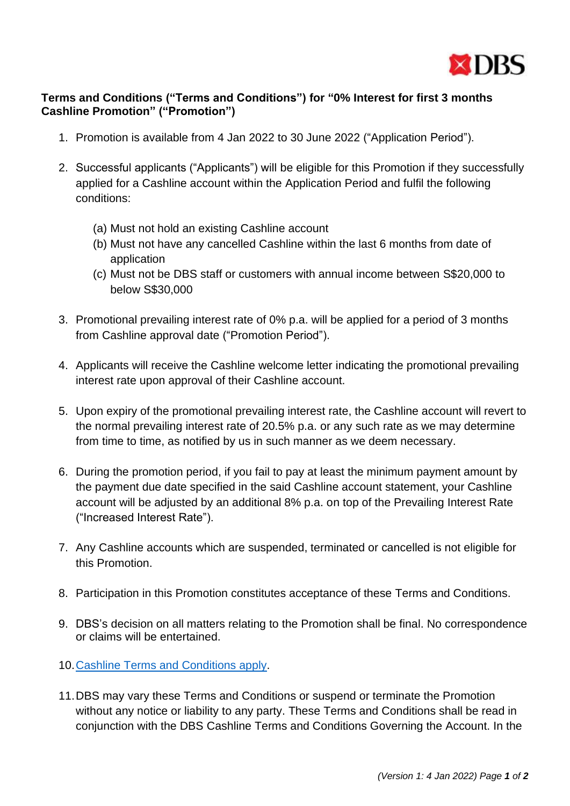

## **Terms and Conditions ("Terms and Conditions") for "0% Interest for first 3 months Cashline Promotion" ("Promotion")**

- 1. Promotion is available from 4 Jan 2022 to 30 June 2022 ("Application Period").
- 2. Successful applicants ("Applicants") will be eligible for this Promotion if they successfully applied for a Cashline account within the Application Period and fulfil the following conditions:
	- (a) Must not hold an existing Cashline account
	- (b) Must not have any cancelled Cashline within the last 6 months from date of application
	- (c) Must not be DBS staff or customers with annual income between S\$20,000 to below S\$30,000
- 3. Promotional prevailing interest rate of 0% p.a. will be applied for a period of 3 months from Cashline approval date ("Promotion Period").
- 4. Applicants will receive the Cashline welcome letter indicating the promotional prevailing interest rate upon approval of their Cashline account.
- 5. Upon expiry of the promotional prevailing interest rate, the Cashline account will revert to the normal prevailing interest rate of 20.5% p.a. or any such rate as we may determine from time to time, as notified by us in such manner as we deem necessary.
- 6. During the promotion period, if you fail to pay at least the minimum payment amount by the payment due date specified in the said Cashline account statement, your Cashline account will be adjusted by an additional 8% p.a. on top of the Prevailing Interest Rate ("Increased Interest Rate").
- 7. Any Cashline accounts which are suspended, terminated or cancelled is not eligible for this Promotion.
- 8. Participation in this Promotion constitutes acceptance of these Terms and Conditions.
- 9. DBS's decision on all matters relating to the Promotion shall be final. No correspondence or claims will be entertained.
- 10[.Cashline Terms and Conditions apply.](https://www.dbs.com.sg/iwov-resources/pdf/loan/personal-loan/dbs-cashline-jul-tnc.pdf)
- 11.DBS may vary these Terms and Conditions or suspend or terminate the Promotion without any notice or liability to any party. These Terms and Conditions shall be read in conjunction with the DBS Cashline Terms and Conditions Governing the Account. In the